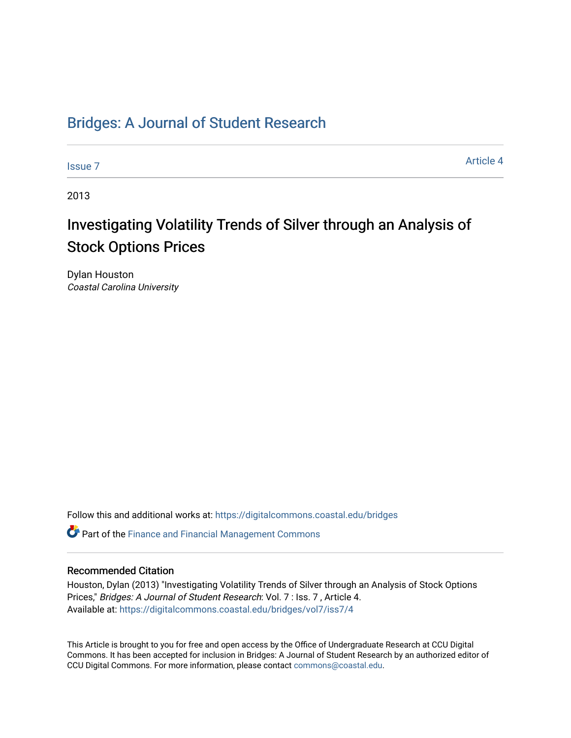## [Bridges: A Journal of Student Research](https://digitalcommons.coastal.edu/bridges)

[Issue 7](https://digitalcommons.coastal.edu/bridges/vol7/iss7) Article 4

2013

# Investigating Volatility Trends of Silver through an Analysis of Stock Options Prices

Dylan Houston Coastal Carolina University

Follow this and additional works at: [https://digitalcommons.coastal.edu/bridges](https://digitalcommons.coastal.edu/bridges?utm_source=digitalcommons.coastal.edu%2Fbridges%2Fvol7%2Fiss7%2F4&utm_medium=PDF&utm_campaign=PDFCoverPages) 

**C** Part of the Finance and Financial Management Commons

#### Recommended Citation

Houston, Dylan (2013) "Investigating Volatility Trends of Silver through an Analysis of Stock Options Prices," Bridges: A Journal of Student Research: Vol. 7 : Iss. 7 , Article 4. Available at: [https://digitalcommons.coastal.edu/bridges/vol7/iss7/4](https://digitalcommons.coastal.edu/bridges/vol7/iss7/4?utm_source=digitalcommons.coastal.edu%2Fbridges%2Fvol7%2Fiss7%2F4&utm_medium=PDF&utm_campaign=PDFCoverPages)

This Article is brought to you for free and open access by the Office of Undergraduate Research at CCU Digital Commons. It has been accepted for inclusion in Bridges: A Journal of Student Research by an authorized editor of CCU Digital Commons. For more information, please contact [commons@coastal.edu](mailto:commons@coastal.edu).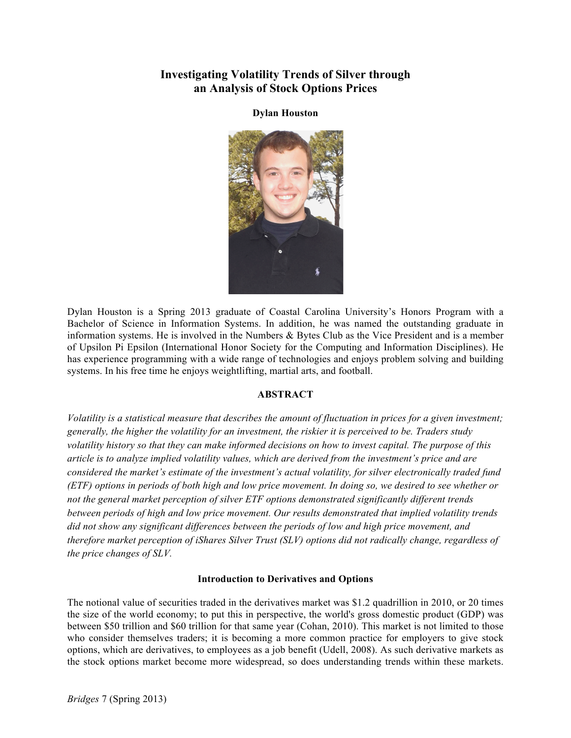## **Investigating Volatility Trends of Silver through an Analysis of Stock Options Prices**

**Dylan Houston**



Dylan Houston is a Spring 2013 graduate of Coastal Carolina University's Honors Program with a Bachelor of Science in Information Systems. In addition, he was named the outstanding graduate in information systems. He is involved in the Numbers & Bytes Club as the Vice President and is a member of Upsilon Pi Epsilon (International Honor Society for the Computing and Information Disciplines). He has experience programming with a wide range of technologies and enjoys problem solving and building systems. In his free time he enjoys weightlifting, martial arts, and football.

## **ABSTRACT**

*Volatility is a statistical measure that describes the amount of fluctuation in prices for a given investment; generally, the higher the volatility for an investment, the riskier it is perceived to be. Traders study volatility history so that they can make informed decisions on how to invest capital. The purpose of this article is to analyze implied volatility values, which are derived from the investment's price and are considered the market's estimate of the investment's actual volatility, for silver electronically traded fund (ETF) options in periods of both high and low price movement. In doing so, we desired to see whether or not the general market perception of silver ETF options demonstrated significantly different trends between periods of high and low price movement. Our results demonstrated that implied volatility trends did not show any significant differences between the periods of low and high price movement, and therefore market perception of iShares Silver Trust (SLV) options did not radically change, regardless of the price changes of SLV.*

## **Introduction to Derivatives and Options**

The notional value of securities traded in the derivatives market was \$1.2 quadrillion in 2010, or 20 times the size of the world economy; to put this in perspective, the world's gross domestic product (GDP) was between \$50 trillion and \$60 trillion for that same year (Cohan, 2010). This market is not limited to those who consider themselves traders; it is becoming a more common practice for employers to give stock options, which are derivatives, to employees as a job benefit (Udell, 2008). As such derivative markets as the stock options market become more widespread, so does understanding trends within these markets.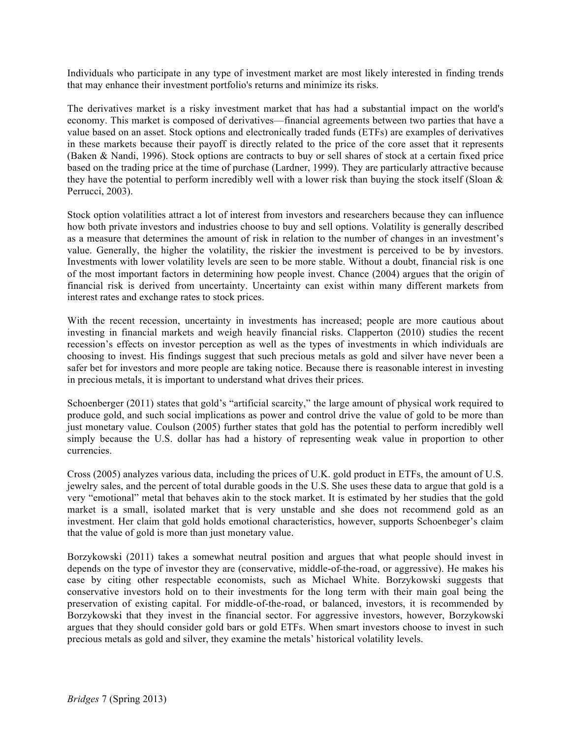Individuals who participate in any type of investment market are most likely interested in finding trends that may enhance their investment portfolio's returns and minimize its risks.

The derivatives market is a risky investment market that has had a substantial impact on the world's economy. This market is composed of derivatives—financial agreements between two parties that have a value based on an asset. Stock options and electronically traded funds (ETFs) are examples of derivatives in these markets because their payoff is directly related to the price of the core asset that it represents (Baken & Nandi, 1996). Stock options are contracts to buy or sell shares of stock at a certain fixed price based on the trading price at the time of purchase (Lardner, 1999). They are particularly attractive because they have the potential to perform incredibly well with a lower risk than buying the stock itself (Sloan  $\&$ Perrucci, 2003).

Stock option volatilities attract a lot of interest from investors and researchers because they can influence how both private investors and industries choose to buy and sell options. Volatility is generally described as a measure that determines the amount of risk in relation to the number of changes in an investment's value. Generally, the higher the volatility, the riskier the investment is perceived to be by investors. Investments with lower volatility levels are seen to be more stable. Without a doubt, financial risk is one of the most important factors in determining how people invest. Chance (2004) argues that the origin of financial risk is derived from uncertainty. Uncertainty can exist within many different markets from interest rates and exchange rates to stock prices.

With the recent recession, uncertainty in investments has increased; people are more cautious about investing in financial markets and weigh heavily financial risks. Clapperton (2010) studies the recent recession's effects on investor perception as well as the types of investments in which individuals are choosing to invest. His findings suggest that such precious metals as gold and silver have never been a safer bet for investors and more people are taking notice. Because there is reasonable interest in investing in precious metals, it is important to understand what drives their prices.

Schoenberger (2011) states that gold's "artificial scarcity," the large amount of physical work required to produce gold, and such social implications as power and control drive the value of gold to be more than just monetary value. Coulson (2005) further states that gold has the potential to perform incredibly well simply because the U.S. dollar has had a history of representing weak value in proportion to other currencies.

Cross (2005) analyzes various data, including the prices of U.K. gold product in ETFs, the amount of U.S. jewelry sales, and the percent of total durable goods in the U.S. She uses these data to argue that gold is a very "emotional" metal that behaves akin to the stock market. It is estimated by her studies that the gold market is a small, isolated market that is very unstable and she does not recommend gold as an investment. Her claim that gold holds emotional characteristics, however, supports Schoenbeger's claim that the value of gold is more than just monetary value.

Borzykowski (2011) takes a somewhat neutral position and argues that what people should invest in depends on the type of investor they are (conservative, middle-of-the-road, or aggressive). He makes his case by citing other respectable economists, such as Michael White. Borzykowski suggests that conservative investors hold on to their investments for the long term with their main goal being the preservation of existing capital. For middle-of-the-road, or balanced, investors, it is recommended by Borzykowski that they invest in the financial sector. For aggressive investors, however, Borzykowski argues that they should consider gold bars or gold ETFs. When smart investors choose to invest in such precious metals as gold and silver, they examine the metals' historical volatility levels.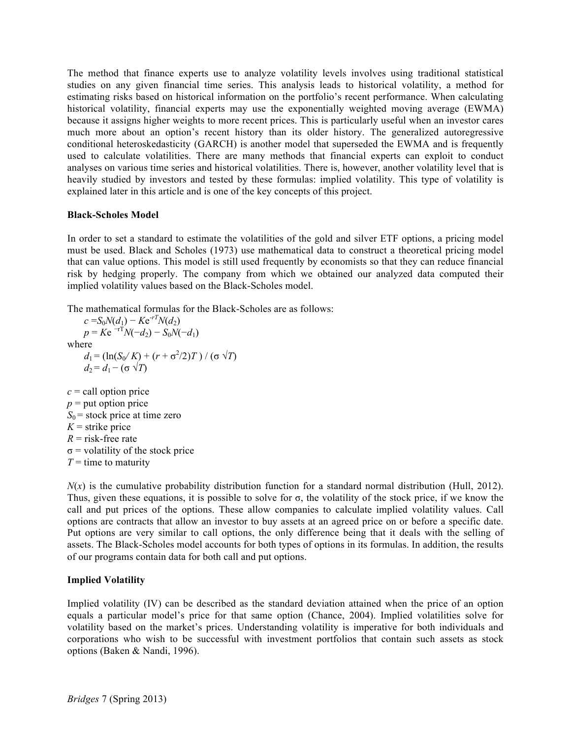The method that finance experts use to analyze volatility levels involves using traditional statistical studies on any given financial time series. This analysis leads to historical volatility, a method for estimating risks based on historical information on the portfolio's recent performance. When calculating historical volatility, financial experts may use the exponentially weighted moving average (EWMA) because it assigns higher weights to more recent prices. This is particularly useful when an investor cares much more about an option's recent history than its older history. The generalized autoregressive conditional heteroskedasticity (GARCH) is another model that superseded the EWMA and is frequently used to calculate volatilities. There are many methods that financial experts can exploit to conduct analyses on various time series and historical volatilities. There is, however, another volatility level that is heavily studied by investors and tested by these formulas: implied volatility. This type of volatility is explained later in this article and is one of the key concepts of this project.

#### **Black-Scholes Model**

In order to set a standard to estimate the volatilities of the gold and silver ETF options, a pricing model must be used. Black and Scholes (1973) use mathematical data to construct a theoretical pricing model that can value options. This model is still used frequently by economists so that they can reduce financial risk by hedging properly. The company from which we obtained our analyzed data computed their implied volatility values based on the Black-Scholes model.

The mathematical formulas for the Black-Scholes are as follows:

 $c = S_0 N(d_1) - K e^{-rT} N(d_2)$  $p = Ke^{-rT}N(-d_2) - S_0N(-d_1)$ where *d*<sub>1</sub> = (ln(*S*<sub>0</sub>/*K*) + (*r* + σ<sup>2</sup>/2)*T*) / (σ √*T*)  $d_2 = d_1 - (\sigma \sqrt{T})$  $c =$  call option price  $p =$  put option price

 $S_0$  = stock price at time zero  $K =$ strike price  $R =$  risk-free rate  $\sigma$  = volatility of the stock price  $T =$  time to maturity

 $N(x)$  is the cumulative probability distribution function for a standard normal distribution (Hull, 2012). Thus, given these equations, it is possible to solve for  $\sigma$ , the volatility of the stock price, if we know the call and put prices of the options. These allow companies to calculate implied volatility values. Call options are contracts that allow an investor to buy assets at an agreed price on or before a specific date. Put options are very similar to call options, the only difference being that it deals with the selling of assets. The Black-Scholes model accounts for both types of options in its formulas. In addition, the results of our programs contain data for both call and put options.

#### **Implied Volatility**

Implied volatility (IV) can be described as the standard deviation attained when the price of an option equals a particular model's price for that same option (Chance, 2004). Implied volatilities solve for volatility based on the market's prices. Understanding volatility is imperative for both individuals and corporations who wish to be successful with investment portfolios that contain such assets as stock options (Baken & Nandi, 1996).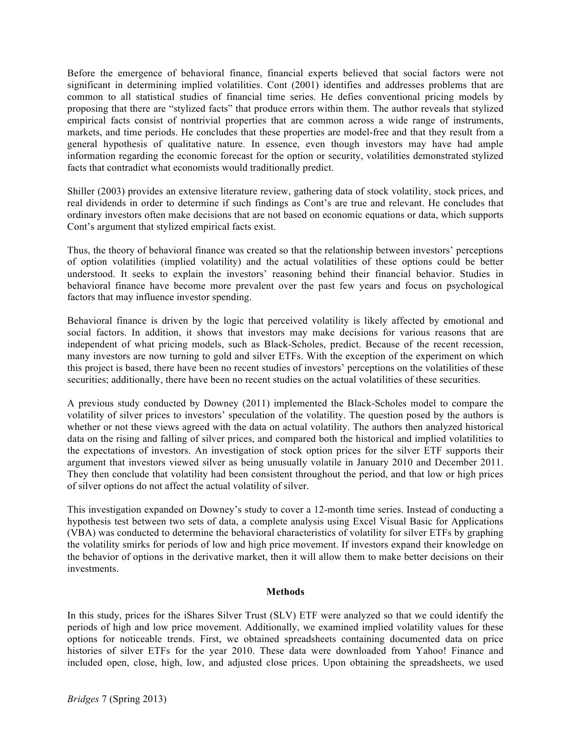Before the emergence of behavioral finance, financial experts believed that social factors were not significant in determining implied volatilities. Cont (2001) identifies and addresses problems that are common to all statistical studies of financial time series. He defies conventional pricing models by proposing that there are "stylized facts" that produce errors within them. The author reveals that stylized empirical facts consist of nontrivial properties that are common across a wide range of instruments, markets, and time periods. He concludes that these properties are model-free and that they result from a general hypothesis of qualitative nature. In essence, even though investors may have had ample information regarding the economic forecast for the option or security, volatilities demonstrated stylized facts that contradict what economists would traditionally predict.

Shiller (2003) provides an extensive literature review, gathering data of stock volatility, stock prices, and real dividends in order to determine if such findings as Cont's are true and relevant. He concludes that ordinary investors often make decisions that are not based on economic equations or data, which supports Cont's argument that stylized empirical facts exist.

Thus, the theory of behavioral finance was created so that the relationship between investors' perceptions of option volatilities (implied volatility) and the actual volatilities of these options could be better understood. It seeks to explain the investors' reasoning behind their financial behavior. Studies in behavioral finance have become more prevalent over the past few years and focus on psychological factors that may influence investor spending.

Behavioral finance is driven by the logic that perceived volatility is likely affected by emotional and social factors. In addition, it shows that investors may make decisions for various reasons that are independent of what pricing models, such as Black-Scholes, predict. Because of the recent recession, many investors are now turning to gold and silver ETFs. With the exception of the experiment on which this project is based, there have been no recent studies of investors' perceptions on the volatilities of these securities; additionally, there have been no recent studies on the actual volatilities of these securities.

A previous study conducted by Downey (2011) implemented the Black-Scholes model to compare the volatility of silver prices to investors' speculation of the volatility. The question posed by the authors is whether or not these views agreed with the data on actual volatility. The authors then analyzed historical data on the rising and falling of silver prices, and compared both the historical and implied volatilities to the expectations of investors. An investigation of stock option prices for the silver ETF supports their argument that investors viewed silver as being unusually volatile in January 2010 and December 2011. They then conclude that volatility had been consistent throughout the period, and that low or high prices of silver options do not affect the actual volatility of silver.

This investigation expanded on Downey's study to cover a 12-month time series. Instead of conducting a hypothesis test between two sets of data, a complete analysis using Excel Visual Basic for Applications (VBA) was conducted to determine the behavioral characteristics of volatility for silver ETFs by graphing the volatility smirks for periods of low and high price movement. If investors expand their knowledge on the behavior of options in the derivative market, then it will allow them to make better decisions on their investments.

#### **Methods**

In this study, prices for the iShares Silver Trust (SLV) ETF were analyzed so that we could identify the periods of high and low price movement. Additionally, we examined implied volatility values for these options for noticeable trends. First, we obtained spreadsheets containing documented data on price histories of silver ETFs for the year 2010. These data were downloaded from Yahoo! Finance and included open, close, high, low, and adjusted close prices. Upon obtaining the spreadsheets, we used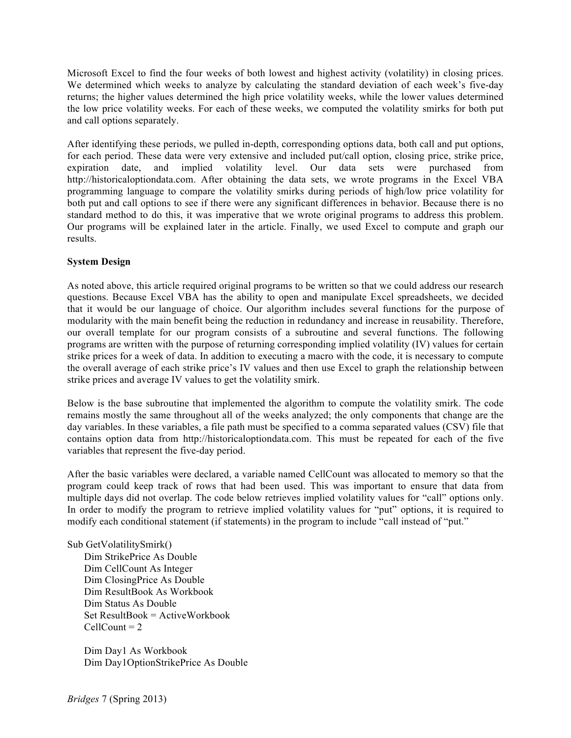Microsoft Excel to find the four weeks of both lowest and highest activity (volatility) in closing prices. We determined which weeks to analyze by calculating the standard deviation of each week's five-day returns; the higher values determined the high price volatility weeks, while the lower values determined the low price volatility weeks. For each of these weeks, we computed the volatility smirks for both put and call options separately.

After identifying these periods, we pulled in-depth, corresponding options data, both call and put options, for each period. These data were very extensive and included put/call option, closing price, strike price, expiration date, and implied volatility level. Our data sets were purchased from http://historicaloptiondata.com. After obtaining the data sets, we wrote programs in the Excel VBA programming language to compare the volatility smirks during periods of high/low price volatility for both put and call options to see if there were any significant differences in behavior. Because there is no standard method to do this, it was imperative that we wrote original programs to address this problem. Our programs will be explained later in the article. Finally, we used Excel to compute and graph our results.

## **System Design**

As noted above, this article required original programs to be written so that we could address our research questions. Because Excel VBA has the ability to open and manipulate Excel spreadsheets, we decided that it would be our language of choice. Our algorithm includes several functions for the purpose of modularity with the main benefit being the reduction in redundancy and increase in reusability. Therefore, our overall template for our program consists of a subroutine and several functions. The following programs are written with the purpose of returning corresponding implied volatility (IV) values for certain strike prices for a week of data. In addition to executing a macro with the code, it is necessary to compute the overall average of each strike price's IV values and then use Excel to graph the relationship between strike prices and average IV values to get the volatility smirk.

Below is the base subroutine that implemented the algorithm to compute the volatility smirk. The code remains mostly the same throughout all of the weeks analyzed; the only components that change are the day variables. In these variables, a file path must be specified to a comma separated values (CSV) file that contains option data from http://historicaloptiondata.com. This must be repeated for each of the five variables that represent the five-day period.

After the basic variables were declared, a variable named CellCount was allocated to memory so that the program could keep track of rows that had been used. This was important to ensure that data from multiple days did not overlap. The code below retrieves implied volatility values for "call" options only. In order to modify the program to retrieve implied volatility values for "put" options, it is required to modify each conditional statement (if statements) in the program to include "call instead of "put."

#### Sub GetVolatilitySmirk()

Dim StrikePrice As Double Dim CellCount As Integer Dim ClosingPrice As Double Dim ResultBook As Workbook Dim Status As Double  $Set$  ResultBook = ActiveWorkbook  $CellCount = 2$ 

Dim Day1 As Workbook Dim Day1OptionStrikePrice As Double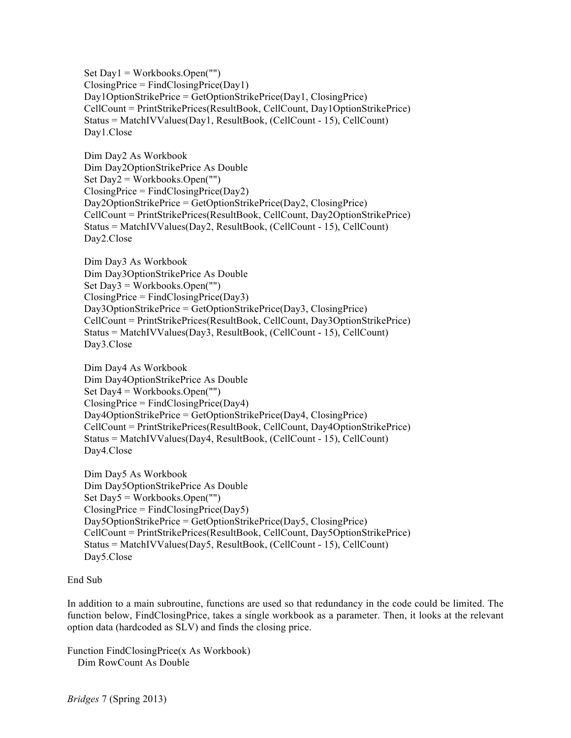Set Day1 = Workbooks.Open("") ClosingPrice = FindClosingPrice(Day1) Day1OptionStrikePrice = GetOptionStrikePrice(Day1, ClosingPrice) CellCount = PrintStrikePrices(ResultBook, CellCount, Day1OptionStrikePrice) Status = MatchIVValues(Day1, ResultBook, (CellCount - 15), CellCount) Day1.Close

Dim Day2 As Workbook Dim Day2OptionStrikePrice As Double Set Day2 = Workbooks.Open("")  $ClosingPrice = FindClosingPrice(Day2)$ Day2OptionStrikePrice = GetOptionStrikePrice(Day2, ClosingPrice) CellCount = PrintStrikePrices(ResultBook, CellCount, Day2OptionStrikePrice) Status = MatchIVValues(Day2, ResultBook, (CellCount - 15), CellCount) Day2.Close

Dim Day3 As Workbook Dim Day3OptionStrikePrice As Double Set Day3 = Workbooks.Open("")  $ClosingPrice = FindClosingPrice(Day3)$ Day3OptionStrikePrice = GetOptionStrikePrice(Day3, ClosingPrice) CellCount = PrintStrikePrices(ResultBook, CellCount, Day3OptionStrikePrice) Status = MatchIVValues(Day3, ResultBook, (CellCount - 15), CellCount) Day3.Close

Dim Day4 As Workbook Dim Day4OptionStrikePrice As Double Set Day4 = Workbooks.Open("")  $ClosingPrice = FindClosingPrice(Day4)$ Day4OptionStrikePrice = GetOptionStrikePrice(Day4, ClosingPrice) CellCount = PrintStrikePrices(ResultBook, CellCount, Day4OptionStrikePrice) Status = MatchIVValues(Day4, ResultBook, (CellCount - 15), CellCount) Day4.Close

Dim Day5 As Workbook Dim Day5OptionStrikePrice As Double Set Day5 = Workbooks.Open("")  $ClosingPrice = FindClosingPrice(Day5)$ Day5OptionStrikePrice = GetOptionStrikePrice(Day5, ClosingPrice) CellCount = PrintStrikePrices(ResultBook, CellCount, Day5OptionStrikePrice) Status = MatchIVValues(Day5, ResultBook, (CellCount - 15), CellCount) Day5.Close

## End Sub

In addition to a main subroutine, functions are used so that redundancy in the code could be limited. The function below, FindClosingPrice, takes a single workbook as a parameter. Then, it looks at the relevant option data (hardcoded as SLV) and finds the closing price.

Function FindClosingPrice(x As Workbook) Dim RowCount As Double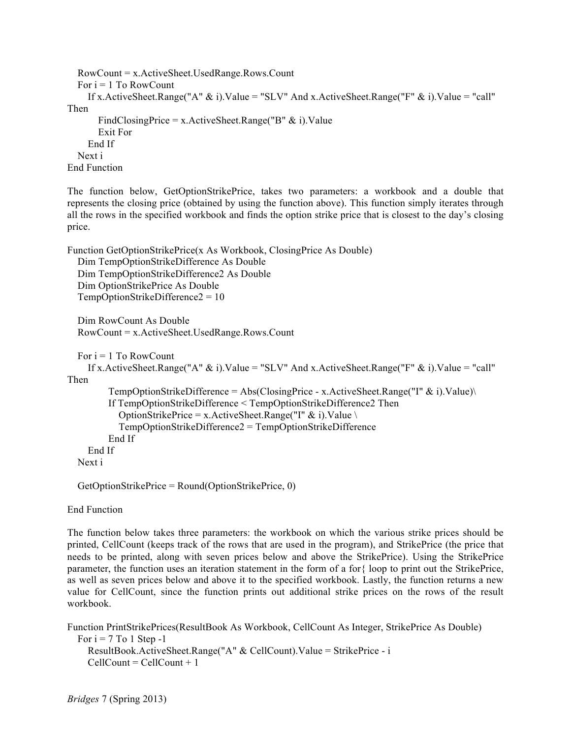```
 RowCount = x.ActiveSheet.UsedRange.Rows.Count
  For i = 1 To RowCount
    If x.ActiveSheet.Range("A" \& i).Value = "SLV" And x.ActiveSheet.Range("F" \& i).Value = "call"
Then
       FindClosingPrice = x.ActiveSheet.Range("B" \& i).Value
        Exit For
     End If
   Next i
End Function
```
The function below, GetOptionStrikePrice, takes two parameters: a workbook and a double that represents the closing price (obtained by using the function above). This function simply iterates through all the rows in the specified workbook and finds the option strike price that is closest to the day's closing price.

```
Function GetOptionStrikePrice(x As Workbook, ClosingPrice As Double)
   Dim TempOptionStrikeDifference As Double
   Dim TempOptionStrikeDifference2 As Double
   Dim OptionStrikePrice As Double
   TempOptionStrikeDifference2 = 10
   Dim RowCount As Double
   RowCount = x.ActiveSheet.UsedRange.Rows.Count
  For i = 1 To RowCount
    If x.ActiveSheet.Range("A" \& i).Value = "SLV" And x.ActiveSheet.Range("F" \& i).Value = "call"
Then
         TempOptionStrikeDifference = Abs(ClosingPrice - x.ActiveSheet.Range("I" \& i).Value)\
          If TempOptionStrikeDifference < TempOptionStrikeDifference2 Then
           OptionStrikePrice = x.ActiveSheet.Range("I" & i).Value \
            TempOptionStrikeDifference2 = TempOptionStrikeDifference
          End If
     End If
   Next i
```
GetOptionStrikePrice = Round(OptionStrikePrice, 0)

End Function

The function below takes three parameters: the workbook on which the various strike prices should be printed, CellCount (keeps track of the rows that are used in the program), and StrikePrice (the price that needs to be printed, along with seven prices below and above the StrikePrice). Using the StrikePrice parameter, the function uses an iteration statement in the form of a for{ loop to print out the StrikePrice, as well as seven prices below and above it to the specified workbook. Lastly, the function returns a new value for CellCount, since the function prints out additional strike prices on the rows of the result workbook.

Function PrintStrikePrices(ResultBook As Workbook, CellCount As Integer, StrikePrice As Double) For  $i = 7$  To 1 Step -1 ResultBook.ActiveSheet.Range("A" & CellCount).Value = StrikePrice - i  $CellCount = CellCount + 1$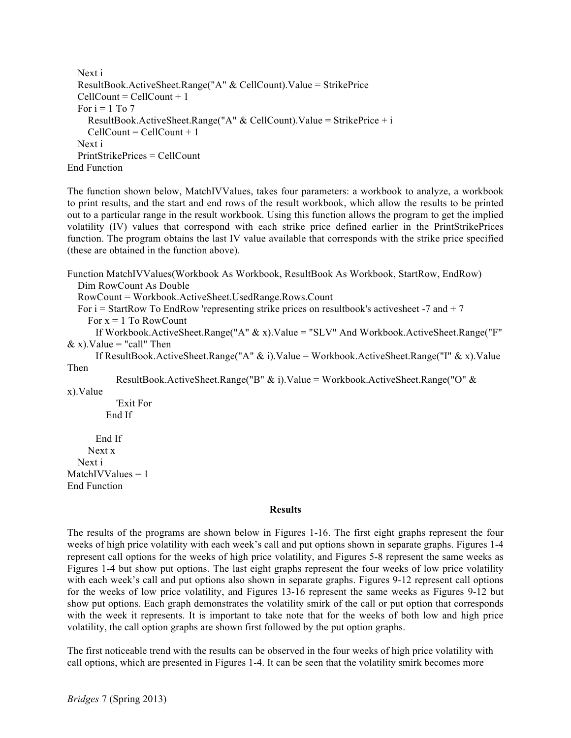```
 Next i
   ResultBook.ActiveSheet.Range("A" & CellCount).Value = StrikePrice
  CellCount = CellCount + 1For i = 1 To 7
    ResultBook.ActiveSheet.Range("A" & CellCount).Value = StrikePrice + i
    CellCount = CellCount + 1 Next i
   PrintStrikePrices = CellCount
End Function
```
The function shown below, MatchIVValues, takes four parameters: a workbook to analyze, a workbook to print results, and the start and end rows of the result workbook, which allow the results to be printed out to a particular range in the result workbook. Using this function allows the program to get the implied volatility (IV) values that correspond with each strike price defined earlier in the PrintStrikePrices function. The program obtains the last IV value available that corresponds with the strike price specified (these are obtained in the function above).

```
Function MatchIVValues(Workbook As Workbook, ResultBook As Workbook, StartRow, EndRow)
   Dim RowCount As Double
   RowCount = Workbook.ActiveSheet.UsedRange.Rows.Count
  For i = StartRow To EndRow 'representing strike prices on resultbook's actives heet -7 and + 7For x = 1 To RowCount
       If Workbook.ActiveSheet.Range("A" & x).Value = "SLV" And Workbook.ActiveSheet.Range("F"
```

```
& x). Value = "call" Then
```
 If ResultBook.ActiveSheet.Range("A" & i).Value = Workbook.ActiveSheet.Range("I" & x).Value Then

ResultBook.ActiveSheet.Range("B" & i).Value = Workbook.ActiveSheet.Range("O" &

x).Value

 'Exit For End If

```
 End If
     Next x
   Next i
MatchIVValues = 1End Function
```
#### **Results**

The results of the programs are shown below in Figures 1-16. The first eight graphs represent the four weeks of high price volatility with each week's call and put options shown in separate graphs. Figures 1-4 represent call options for the weeks of high price volatility, and Figures 5-8 represent the same weeks as Figures 1-4 but show put options. The last eight graphs represent the four weeks of low price volatility with each week's call and put options also shown in separate graphs. Figures 9-12 represent call options for the weeks of low price volatility, and Figures 13-16 represent the same weeks as Figures 9-12 but show put options. Each graph demonstrates the volatility smirk of the call or put option that corresponds with the week it represents. It is important to take note that for the weeks of both low and high price volatility, the call option graphs are shown first followed by the put option graphs.

The first noticeable trend with the results can be observed in the four weeks of high price volatility with call options, which are presented in Figures 1-4. It can be seen that the volatility smirk becomes more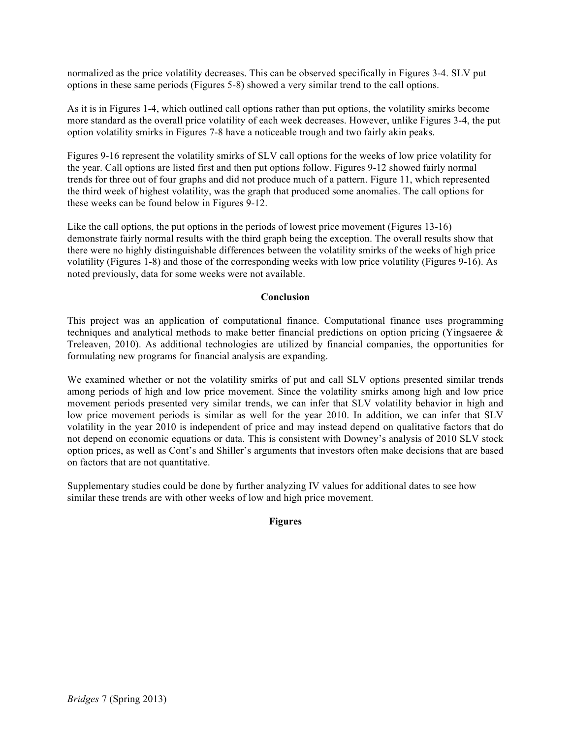normalized as the price volatility decreases. This can be observed specifically in Figures 3-4. SLV put options in these same periods (Figures 5-8) showed a very similar trend to the call options.

As it is in Figures 1-4, which outlined call options rather than put options, the volatility smirks become more standard as the overall price volatility of each week decreases. However, unlike Figures 3-4, the put option volatility smirks in Figures 7-8 have a noticeable trough and two fairly akin peaks.

Figures 9-16 represent the volatility smirks of SLV call options for the weeks of low price volatility for the year. Call options are listed first and then put options follow. Figures 9-12 showed fairly normal trends for three out of four graphs and did not produce much of a pattern. Figure 11, which represented the third week of highest volatility, was the graph that produced some anomalies. The call options for these weeks can be found below in Figures 9-12.

Like the call options, the put options in the periods of lowest price movement (Figures 13-16) demonstrate fairly normal results with the third graph being the exception. The overall results show that there were no highly distinguishable differences between the volatility smirks of the weeks of high price volatility (Figures 1-8) and those of the corresponding weeks with low price volatility (Figures 9-16). As noted previously, data for some weeks were not available.

#### **Conclusion**

This project was an application of computational finance. Computational finance uses programming techniques and analytical methods to make better financial predictions on option pricing (Yingsaeree & Treleaven, 2010). As additional technologies are utilized by financial companies, the opportunities for formulating new programs for financial analysis are expanding.

We examined whether or not the volatility smirks of put and call SLV options presented similar trends among periods of high and low price movement. Since the volatility smirks among high and low price movement periods presented very similar trends, we can infer that SLV volatility behavior in high and low price movement periods is similar as well for the year 2010. In addition, we can infer that SLV volatility in the year 2010 is independent of price and may instead depend on qualitative factors that do not depend on economic equations or data. This is consistent with Downey's analysis of 2010 SLV stock option prices, as well as Cont's and Shiller's arguments that investors often make decisions that are based on factors that are not quantitative.

Supplementary studies could be done by further analyzing IV values for additional dates to see how similar these trends are with other weeks of low and high price movement.

#### **Figures**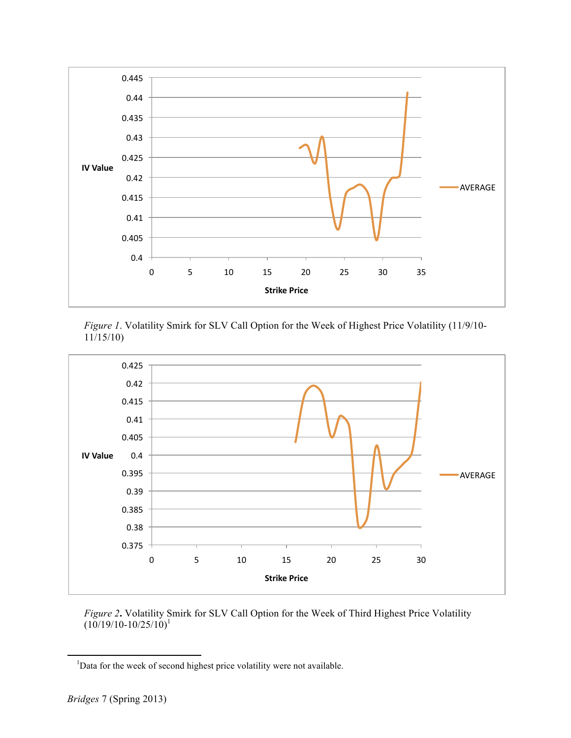

*Figure 1*. Volatility Smirk for SLV Call Option for the Week of Highest Price Volatility (11/9/10- 11/15/10)



*Figure 2***.** Volatility Smirk for SLV Call Option for the Week of Third Highest Price Volatility  $(10/19/10 - 10/25/10)^1$ 

<sup>&</sup>lt;sup>1</sup>Data for the week of second highest price volatility were not available.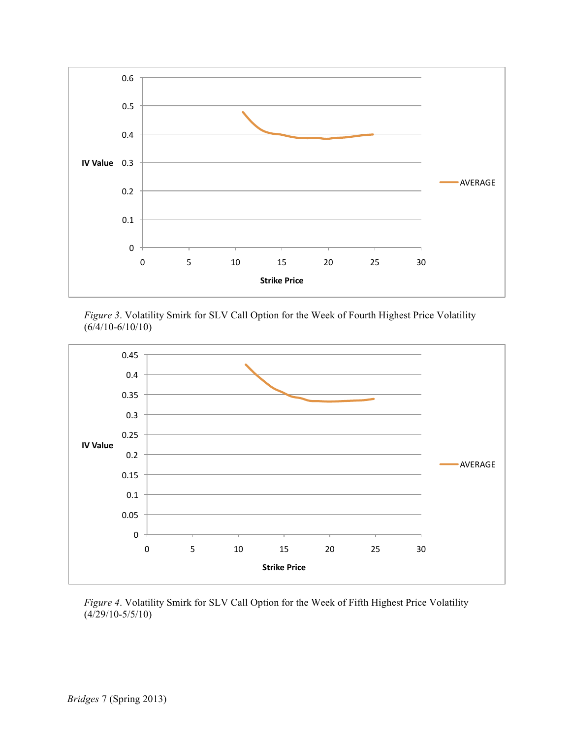

*Figure 3*. Volatility Smirk for SLV Call Option for the Week of Fourth Highest Price Volatility (6/4/10-6/10/10)



*Figure 4*. Volatility Smirk for SLV Call Option for the Week of Fifth Highest Price Volatility (4/29/10-5/5/10)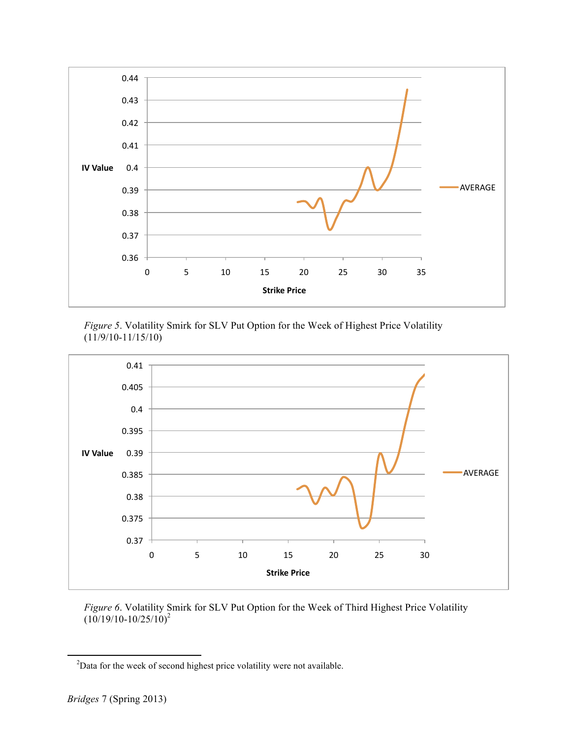

*Figure 5*. Volatility Smirk for SLV Put Option for the Week of Highest Price Volatility (11/9/10-11/15/10)



*Figure 6*. Volatility Smirk for SLV Put Option for the Week of Third Highest Price Volatility  $(10/19/10-10/25/10)^2$ 

<sup>&</sup>lt;sup>2</sup>Data for the week of second highest price volatility were not available.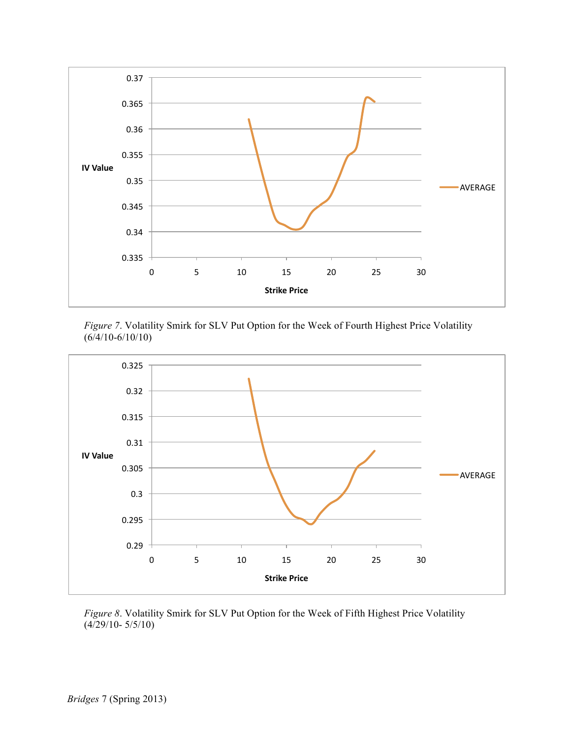

*Figure 7*. Volatility Smirk for SLV Put Option for the Week of Fourth Highest Price Volatility (6/4/10-6/10/10)



*Figure 8*. Volatility Smirk for SLV Put Option for the Week of Fifth Highest Price Volatility (4/29/10- 5/5/10)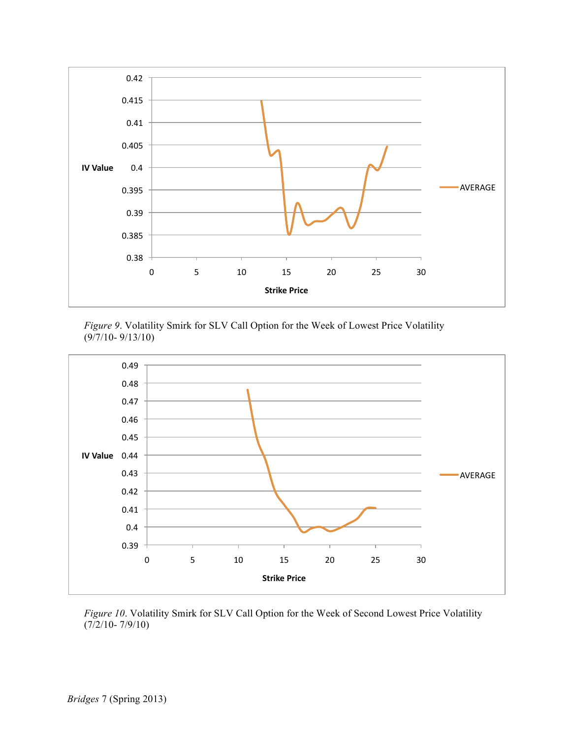

*Figure 9*. Volatility Smirk for SLV Call Option for the Week of Lowest Price Volatility (9/7/10- 9/13/10)



*Figure 10*. Volatility Smirk for SLV Call Option for the Week of Second Lowest Price Volatility (7/2/10- 7/9/10)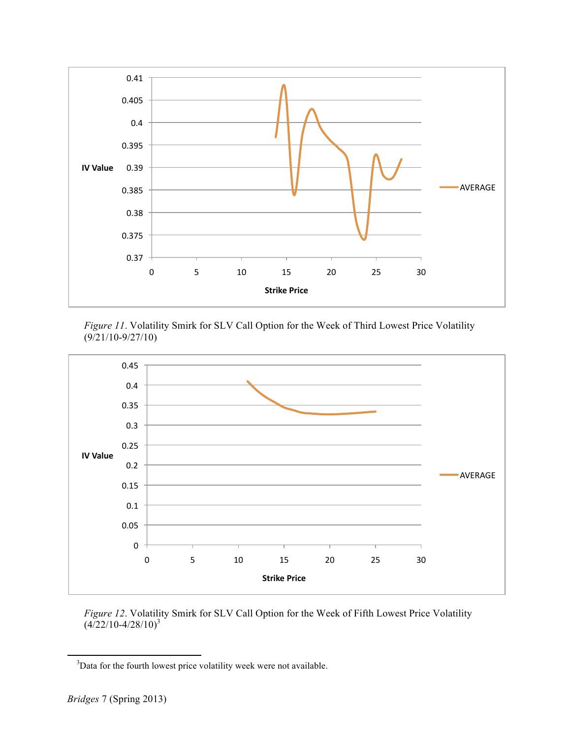

*Figure 11*. Volatility Smirk for SLV Call Option for the Week of Third Lowest Price Volatility (9/21/10-9/27/10)



*Figure 12*. Volatility Smirk for SLV Call Option for the Week of Fifth Lowest Price Volatility  $(4/22/10-4/28/10)^3$ 

<sup>&</sup>lt;sup>3</sup>Data for the fourth lowest price volatility week were not available.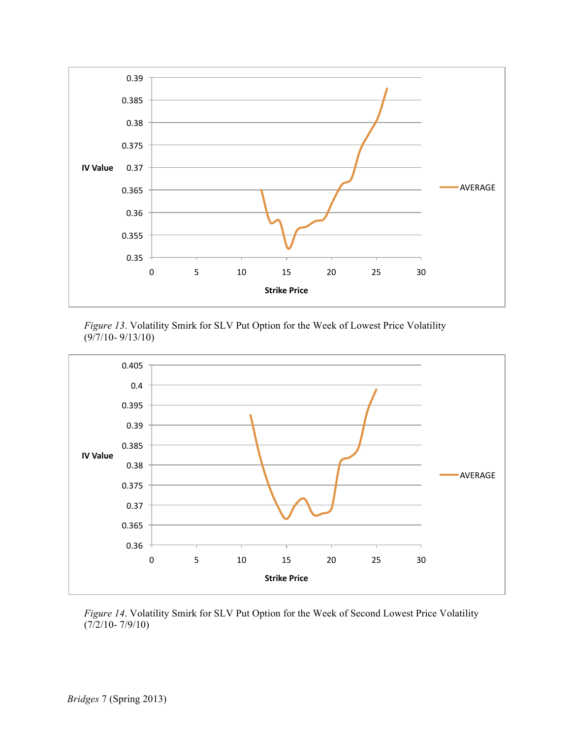





*Figure 14*. Volatility Smirk for SLV Put Option for the Week of Second Lowest Price Volatility (7/2/10- 7/9/10)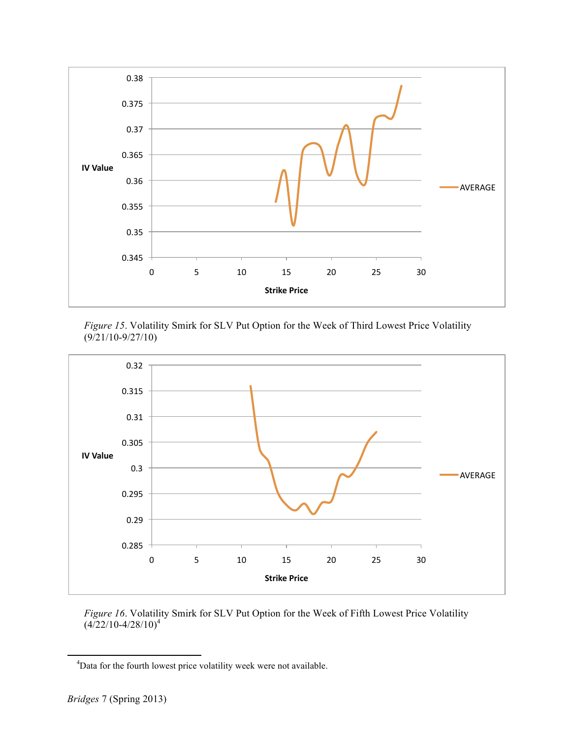

*Figure 15*. Volatility Smirk for SLV Put Option for the Week of Third Lowest Price Volatility (9/21/10-9/27/10)



*Figure 16*. Volatility Smirk for SLV Put Option for the Week of Fifth Lowest Price Volatility  $(4/22/10-4/28/10)^4$ 

<sup>&</sup>lt;sup>4</sup>Data for the fourth lowest price volatility week were not available.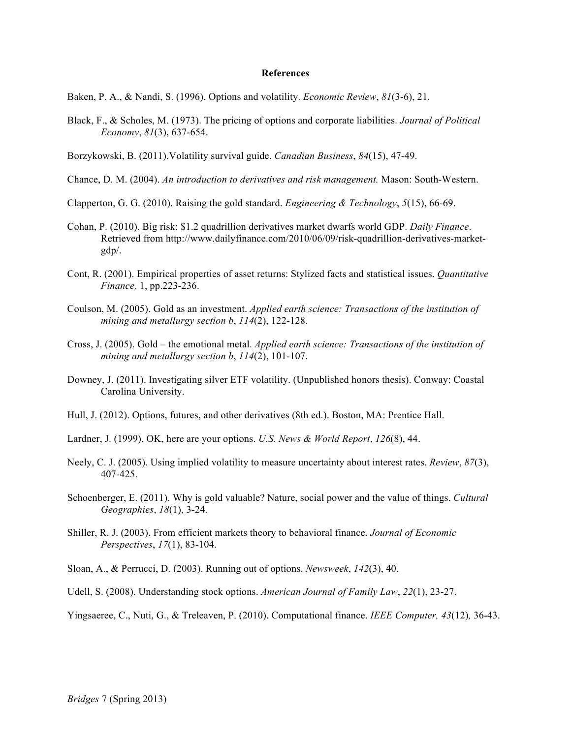#### **References**

Baken, P. A., & Nandi, S. (1996). Options and volatility. *Economic Review*, *81*(3-6), 21.

- Black, F., & Scholes, M. (1973). The pricing of options and corporate liabilities. *Journal of Political Economy*, *81*(3), 637-654.
- Borzykowski, B. (2011).Volatility survival guide. *Canadian Business*, *84*(15), 47-49.
- Chance, D. M. (2004). *An introduction to derivatives and risk management.* Mason: South-Western.
- Clapperton, G. G. (2010). Raising the gold standard. *Engineering & Technology*, *5*(15), 66-69.
- Cohan, P. (2010). Big risk: \$1.2 quadrillion derivatives market dwarfs world GDP. *Daily Finance*. Retrieved from http://www.dailyfinance.com/2010/06/09/risk-quadrillion-derivatives-marketgdp/.
- Cont, R. (2001). Empirical properties of asset returns: Stylized facts and statistical issues. *Quantitative Finance,* 1, pp.223-236.
- Coulson, M. (2005). Gold as an investment. *Applied earth science: Transactions of the institution of mining and metallurgy section b*, *114*(2), 122-128.
- Cross, J. (2005). Gold the emotional metal. *Applied earth science: Transactions of the institution of mining and metallurgy section b*, *114*(2), 101-107.
- Downey, J. (2011). Investigating silver ETF volatility. (Unpublished honors thesis). Conway: Coastal Carolina University.
- Hull, J. (2012). Options, futures, and other derivatives (8th ed.). Boston, MA: Prentice Hall.
- Lardner, J. (1999). OK, here are your options. *U.S. News & World Report*, *126*(8), 44.
- Neely, C. J. (2005). Using implied volatility to measure uncertainty about interest rates. *Review*, *87*(3), 407-425.
- Schoenberger, E. (2011). Why is gold valuable? Nature, social power and the value of things. *Cultural Geographies*, *18*(1), 3-24.
- Shiller, R. J. (2003). From efficient markets theory to behavioral finance. *Journal of Economic Perspectives*, *17*(1), 83-104.
- Sloan, A., & Perrucci, D. (2003). Running out of options. *Newsweek*, *142*(3), 40.
- Udell, S. (2008). Understanding stock options. *American Journal of Family Law*, *22*(1), 23-27.

Yingsaeree, C., Nuti, G., & Treleaven, P. (2010). Computational finance. *IEEE Computer, 43*(12)*,* 36-43.